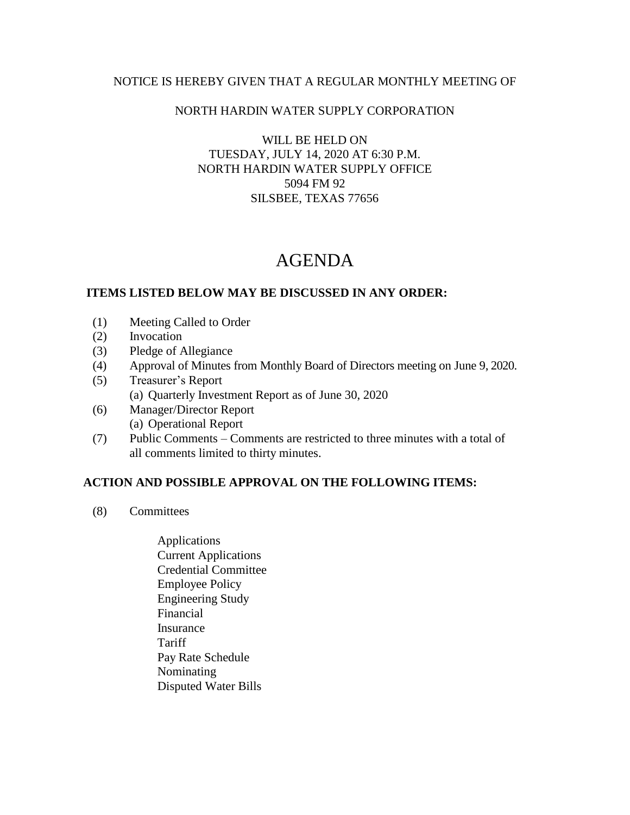### NOTICE IS HEREBY GIVEN THAT A REGULAR MONTHLY MEETING OF

## NORTH HARDIN WATER SUPPLY CORPORATION

WILL BE HELD ON TUESDAY, JULY 14, 2020 AT 6:30 P.M. NORTH HARDIN WATER SUPPLY OFFICE 5094 FM 92 SILSBEE, TEXAS 77656

# AGENDA

### **ITEMS LISTED BELOW MAY BE DISCUSSED IN ANY ORDER:**

- (1) Meeting Called to Order
- (2) Invocation
- (3) Pledge of Allegiance
- (4) Approval of Minutes from Monthly Board of Directors meeting on June 9, 2020.
- (5) Treasurer's Report (a) Quarterly Investment Report as of June 30, 2020
- (6) Manager/Director Report (a) Operational Report
- (7) Public Comments Comments are restricted to three minutes with a total of all comments limited to thirty minutes.

### **ACTION AND POSSIBLE APPROVAL ON THE FOLLOWING ITEMS:**

- (8) Committees
	- Applications Current Applications Credential Committee Employee Policy Engineering Study Financial Insurance Tariff Pay Rate Schedule Nominating Disputed Water Bills